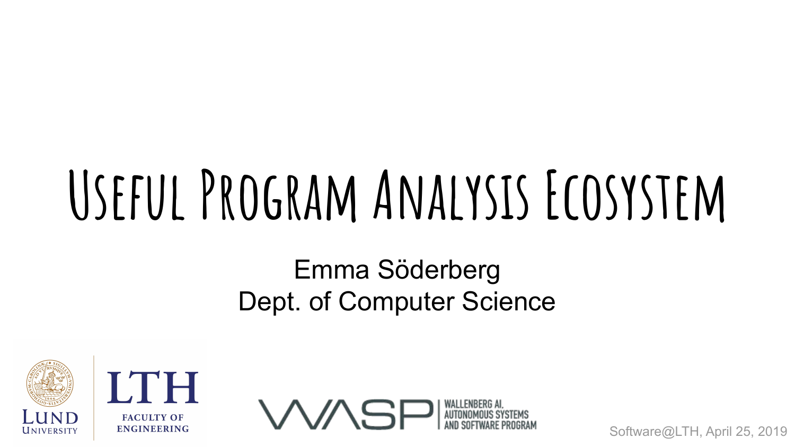# **Useful Program Analysis Ecosystem**

#### Emma Söderberg Dept. of Computer Science





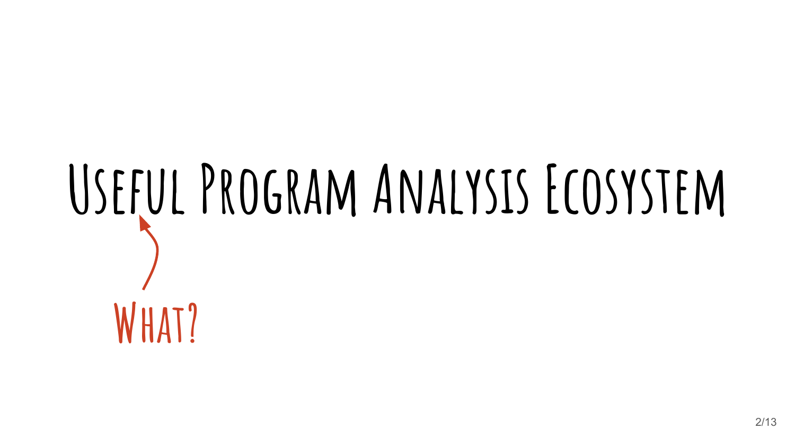# **Useful Program Analysis Ecosystem What?**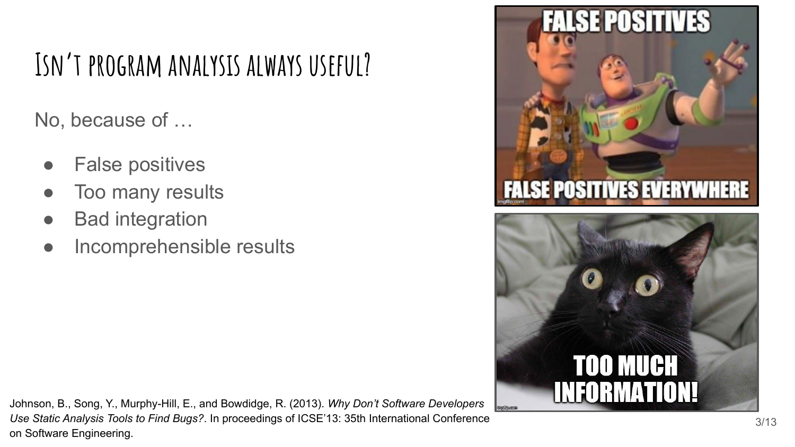## **Isn't program analysis always useful?**

No, because of …

- **False positives**
- Too many results
- **Bad integration**
- Incomprehensible results





Johnson, B., Song, Y., Murphy-Hill, E., and Bowdidge, R. (2013). *Why Don't Software Developers Use Static Analysis Tools to Find Bugs?*. In proceedings of ICSE'13: 35th International Conference on Software Engineering.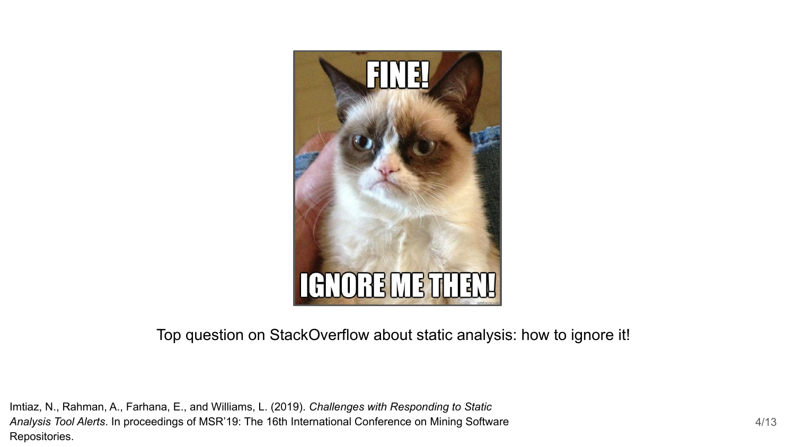

Top question on StackOverflow about static analysis: how to ignore it!

Imtiaz, N., Rahman, A., Farhana, E., and Williams, L. (2019). *Challenges with Responding to Static Analysis Tool Alerts*. In proceedings of MSR'19: The 16th International Conference on Mining Software Repositories.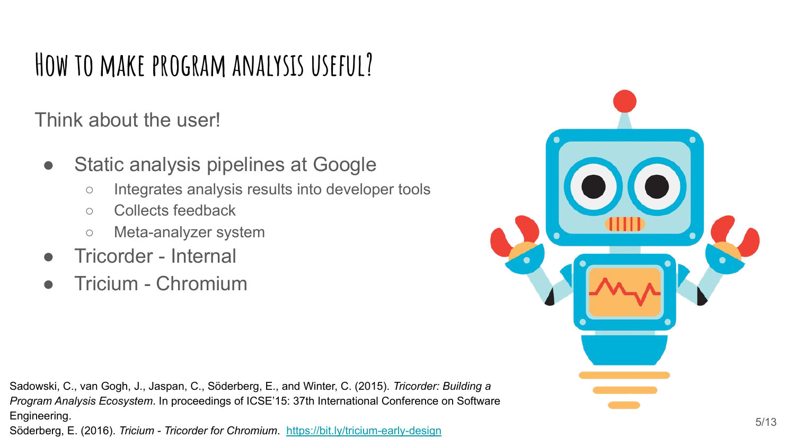#### **How to make program analysis useful?**

Think about the user!

- Static analysis pipelines at Google
	- Integrates analysis results into developer tools
	- Collects feedback
	- Meta-analyzer system
- Tricorder Internal
- Tricium Chromium

Sadowski, C., van Gogh, J., Jaspan, C., Söderberg, E., and Winter, C. (2015). *Tricorder: Building a Program Analysis Ecosystem*. In proceedings of ICSE'15: 37th International Conference on Software Engineering. Söderberg, E. (2016). *Tricium - Tricorder for Chromium*. <https://bit.ly/tricium-early-design>

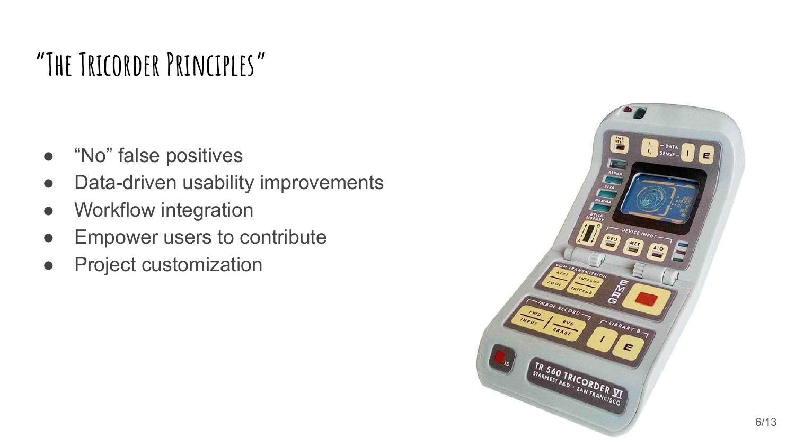### **"The Tricorder Principles"**

- "No" false positives
- Data-driven usability improvements
- Workflow integration
- Empower users to contribute
- Project customization

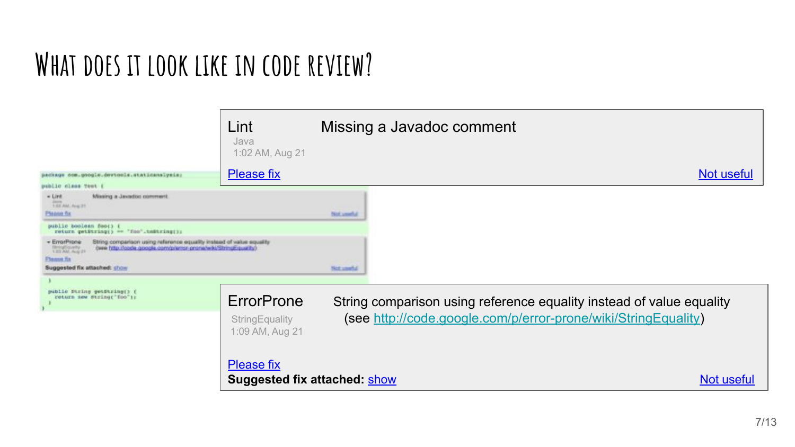#### **What does it look like in code review?**

|                                                                                                                                                                                                                                                  | Lint<br>Java<br>1:02 AM, Aug 21                          | Missing a Javadoc comment                                            |                   |
|--------------------------------------------------------------------------------------------------------------------------------------------------------------------------------------------------------------------------------------------------|----------------------------------------------------------|----------------------------------------------------------------------|-------------------|
| package oce.google.devtools.staticanalysis;                                                                                                                                                                                                      | <b>Please fix</b>                                        |                                                                      | <b>Not useful</b> |
| public class Test {                                                                                                                                                                                                                              |                                                          |                                                                      |                   |
| Masing a Javadoc comment.<br>- Link<br>dama.<br>1 E2 AM, Aug 21.<br>Plagos for                                                                                                                                                                   |                                                          | <b>Not your of</b>                                                   |                   |
| public booless foot) {<br>return getEtring() == 'foo'.tm&tring();                                                                                                                                                                                |                                                          |                                                                      |                   |
| String comparison using reference equality instead of value squality<br>« EmarProne<br>(see http://code.google.com/p/entry-prone/wiki/StringEquality)<br><b>Shringforcastly</b><br>1.83 AM: Aug 21<br>Please fts<br>Suggested fix attached: show |                                                          | <b>Not unable</b>                                                    |                   |
|                                                                                                                                                                                                                                                  |                                                          |                                                                      |                   |
| public Diring getString() {<br>return sew string; "foo"1:                                                                                                                                                                                        | ErrorProne                                               | String comparison using reference equality instead of value equality |                   |
|                                                                                                                                                                                                                                                  | StringEquality<br>1:09 AM, Aug 21                        | (see http://code.google.com/p/error-prone/wiki/StringEquality)       |                   |
|                                                                                                                                                                                                                                                  | <b>Please fix</b><br><b>Suggested fix attached: show</b> |                                                                      | Not useful        |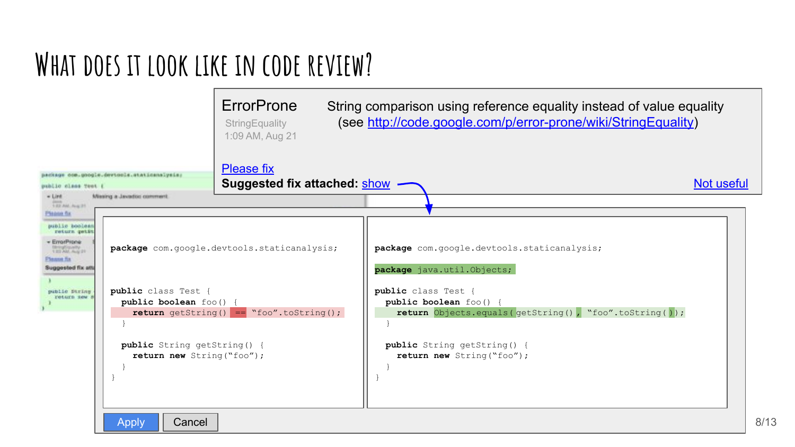#### **What does it look like in code review?**

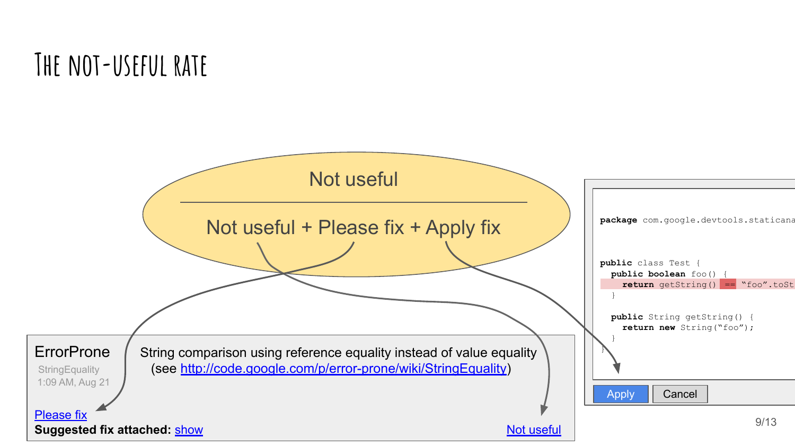#### **The not-useful rate**

![](_page_8_Figure_1.jpeg)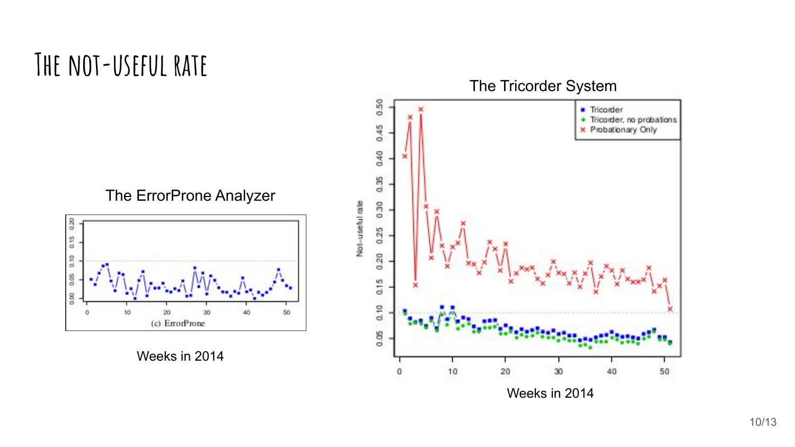#### **The not-useful rate**

The ErrorProne Analyzer

![](_page_9_Figure_2.jpeg)

Weeks in 2014

![](_page_9_Figure_4.jpeg)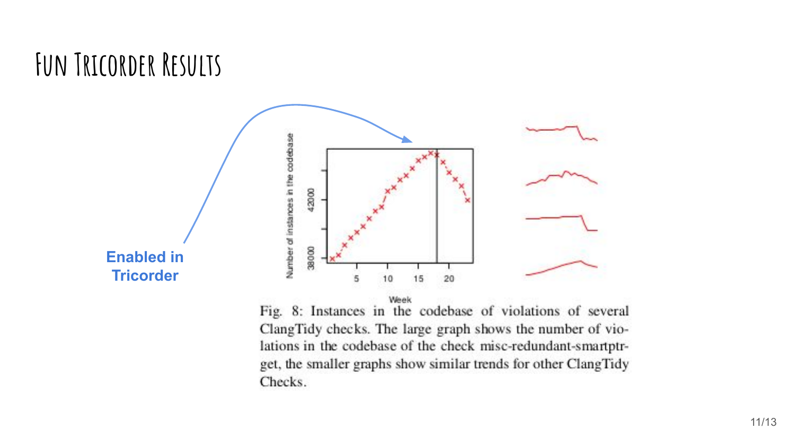#### **Fun Tricorder Results**

![](_page_10_Figure_1.jpeg)

Fig. 8: Instances in the codebase of violations of several ClangTidy checks. The large graph shows the number of violations in the codebase of the check misc-redundant-smartptrget, the smaller graphs show similar trends for other ClangTidy Checks.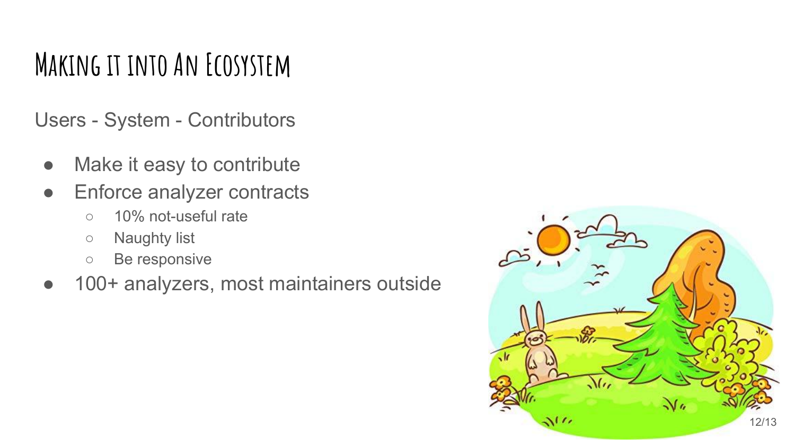#### **Making it into An Ecosystem**

Users - System - Contributors

- Make it easy to contribute
- Enforce analyzer contracts
	- 10% not-useful rate
	- Naughty list
	- Be responsive
- 100+ analyzers, most maintainers outside

![](_page_11_Picture_8.jpeg)